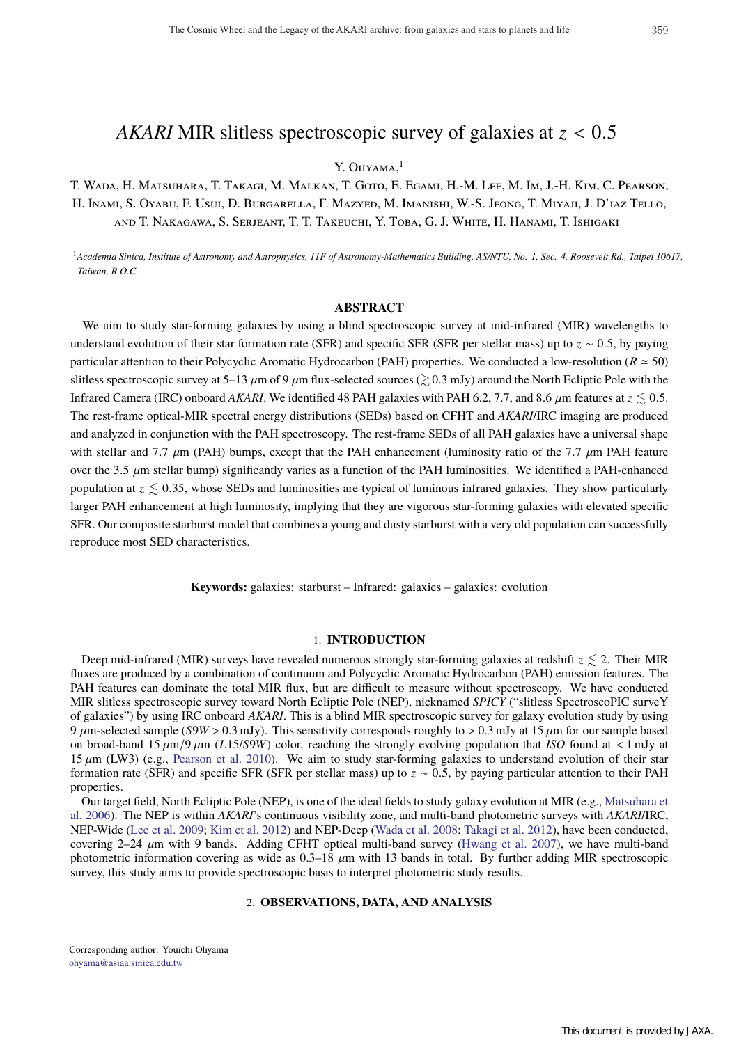# *AKARI* MIR slitless spectroscopic survey of galaxies at *z* < 0.5

# Y. OHYAMA. $<sup>1</sup>$ </sup>

T. Wada, H. Matsuhara, T. Takagi, M. Malkan, T. Goto, E. Egami, H.-M. Lee, M. Im, J.-H. Kim, C. Pearson, H. Inami, S. Oyabu, F. Usui, D. Burgarella, F. Mazyed, M. Imanishi, W.-S. Jeong, T. Miyaji, J. D'iaz Tello, and T. Nakagawa, S. Serjeant, T. T. Takeuchi, Y. Toba, G. J. White, H. Hanami, T. Ishigaki

<sup>1</sup>*Academia Sinica, Institute of Astronomy and Astrophysics, 11F of Astronomy-Mathematics Building, AS/NTU, No. 1, Sec. 4, Roosevelt Rd., Taipei 10617, Taiwan, R.O.C.*

# **ABSTRACT**

We aim to study star-forming galaxies by using a blind spectroscopic survey at mid-infrared (MIR) wavelengths to understand evolution of their star formation rate (SFR) and specific SFR (SFR per stellar mass) up to *z* ∼ 0.5, by paying particular attention to their Polycyclic Aromatic Hydrocarbon (PAH) properties. We conducted a low-resolution ( $R \approx 50$ ) slitless spectroscopic survey at 5–13  $\mu$ m of 9  $\mu$ m flux-selected sources ( $\gtrsim$  0.3 mJy) around the North Ecliptic Pole with the Infrared Camera (IRC) onboard *AKARI*. We identified 48 PAH galaxies with PAH 6.2, 7.7, and 8.6  $\mu$ m features at  $z \leq 0.5$ . The rest-frame optical-MIR spectral energy distributions (SEDs) based on CFHT and *AKARI*/IRC imaging are produced and analyzed in conjunction with the PAH spectroscopy. The rest-frame SEDs of all PAH galaxies have a universal shape with stellar and 7.7  $\mu$ m (PAH) bumps, except that the PAH enhancement (luminosity ratio of the 7.7  $\mu$ m PAH feature over the 3.5  $\mu$ m stellar bump) significantly varies as a function of the PAH luminosities. We identified a PAH-enhanced population at  $z \leq 0.35$ , whose SEDs and luminosities are typical of luminous infrared galaxies. They show particularly larger PAH enhancement at high luminosity, implying that they are vigorous star-forming galaxies with elevated specific SFR. Our composite starburst model that combines a young and dusty starburst with a very old population can successfully reproduce most SED characteristics.

**Keywords:** galaxies: starburst – Infrared: galaxies – galaxies: evolution

# 1. **INTRODUCTION**

Deep mid-infrared (MIR) surveys have revealed numerous strongly star-forming galaxies at redshift  $z \le 2$ . Their MIR fluxes are produced by a combination of continuum and Polycyclic Aromatic Hydrocarbon (PAH) emission features. The PAH features can dominate the total MIR flux, but are difficult to measure without spectroscopy. We have conducted MIR slitless spectroscopic survey toward North Ecliptic Pole (NEP), nicknamed *SPICY* ("slitless SpectroscoPIC surveY of galaxies") by using IRC onboard *AKARI*. This is a blind MIR spectroscopic survey for galaxy evolution study by using 9  $\mu$ m-selected sample (*S*9*W* > 0.3 mJy). This sensitivity corresponds roughly to > 0.3 mJy at 15  $\mu$ m for our sample based on broad-band 15  $\mu$ m/9  $\mu$ m (*L*15/*S*9*W*) color, reaching the strongly evolving population that *ISO* found at < 1 mJy at 15  $\mu$ m (LW3) (e.g., Pearson et al. 2010). We aim to study star-forming galaxies to understand evolution of their star formation rate (SFR) and specific SFR (SFR per stellar mass) up to *z* ∼ 0.5, by paying particular attention to their PAH properties.

Our target field, North Ecliptic Pole (NEP), is one of the ideal fields to study galaxy evolution at MIR (e.g., Matsuhara et al. 2006). The NEP is within *AKARI*'s continuous visibility zone, and multi-band photometric surveys with *AKARI*/IRC, NEP-Wide (Lee et al. 2009; Kim et al. 2012) and NEP-Deep (Wada et al. 2008; Takagi et al. 2012), have been conducted, covering  $2-24 \mu$ m with 9 bands. Adding CFHT optical multi-band survey (Hwang et al. 2007), we have multi-band photometric information covering as wide as  $0.3-18 \mu m$  with 13 bands in total. By further adding MIR spectroscopic survey, this study aims to provide spectroscopic basis to interpret photometric study results.

# 2. **OBSERVATIONS, DATA, AND ANALYSIS**

Corresponding author: Youichi Ohyama ohyama@asiaa.sinica.edu.tw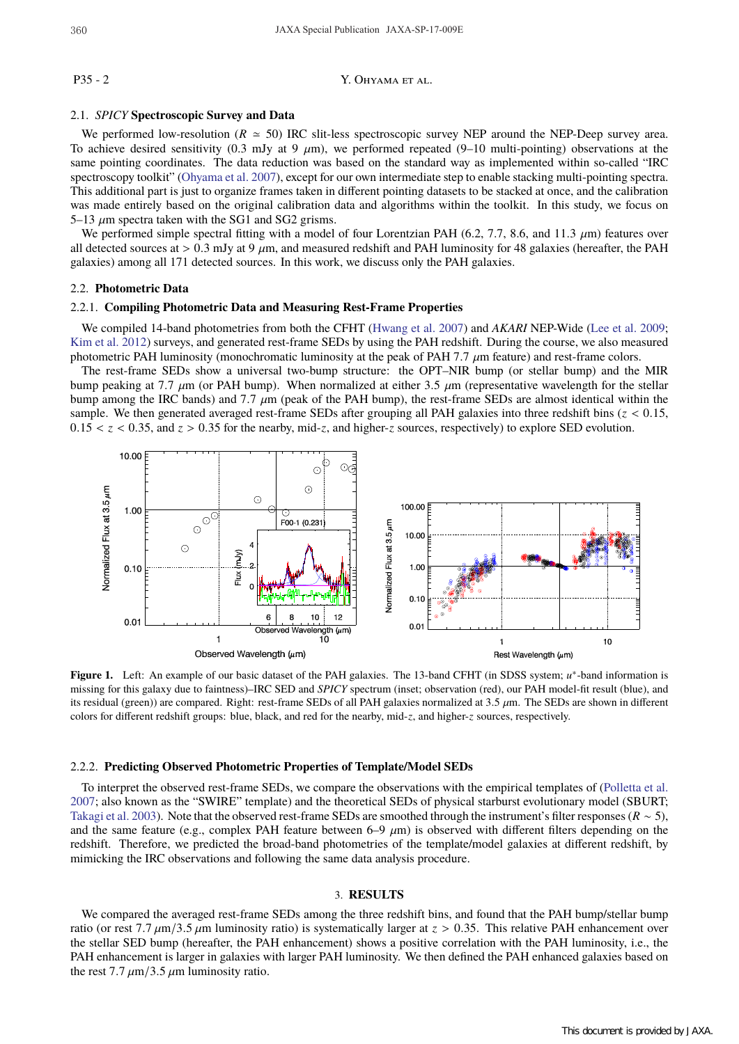P35 - 2 Y. OHYAMA ET AL.

# 2.1. *SPICY* **Spectroscopic Survey and Data**

We performed low-resolution ( $R \approx 50$ ) IRC slit-less spectroscopic survey NEP around the NEP-Deep survey area. To achieve desired sensitivity (0.3 mJy at 9  $\mu$ m), we performed repeated (9–10 multi-pointing) observations at the same pointing coordinates. The data reduction was based on the standard way as implemented within so-called "IRC spectroscopy toolkit" (Ohyama et al. 2007), except for our own intermediate step to enable stacking multi-pointing spectra. This additional part is just to organize frames taken in different pointing datasets to be stacked at once, and the calibration was made entirely based on the original calibration data and algorithms within the toolkit. In this study, we focus on 5–13  $\mu$ m spectra taken with the SG1 and SG2 grisms.

We performed simple spectral fitting with a model of four Lorentzian PAH (6.2, 7.7, 8.6, and 11.3  $\mu$ m) features over all detected sources at  $> 0.3$  mJy at 9  $\mu$ m, and measured redshift and PAH luminosity for 48 galaxies (hereafter, the PAH galaxies) among all 171 detected sources. In this work, we discuss only the PAH galaxies.

#### 2.2. **Photometric Data**

#### 2.2.1. **Compiling Photometric Data and Measuring Rest-Frame Properties**

We compiled 14-band photometries from both the CFHT (Hwang et al. 2007) and *AKARI* NEP-Wide (Lee et al. 2009; Kim et al. 2012) surveys, and generated rest-frame SEDs by using the PAH redshift. During the course, we also measured photometric PAH luminosity (monochromatic luminosity at the peak of PAH 7.7  $\mu$ m feature) and rest-frame colors.

The rest-frame SEDs show a universal two-bump structure: the OPT–NIR bump (or stellar bump) and the MIR bump peaking at 7.7  $\mu$ m (or PAH bump). When normalized at either 3.5  $\mu$ m (representative wavelength for the stellar bump among the IRC bands) and 7.7  $\mu$ m (peak of the PAH bump), the rest-frame SEDs are almost identical within the sample. We then generated averaged rest-frame SEDs after grouping all PAH galaxies into three redshift bins  $(z < 0.15$ ,  $0.15 < z < 0.35$ , and  $z > 0.35$  for the nearby, mid-*z*, and higher-*z* sources, respectively) to explore SED evolution.



**Figure 1.** Left: An example of our basic dataset of the PAH galaxies. The 13-band CFHT (in SDSS system; *u*∗-band information is missing for this galaxy due to faintness)–IRC SED and *SPICY* spectrum (inset; observation (red), our PAH model-fit result (blue), and its residual (green)) are compared. Right: rest-frame SEDs of all PAH galaxies normalized at 3.5  $\mu$ m. The SEDs are shown in different colors for different redshift groups: blue, black, and red for the nearby, mid-*z*, and higher-*z* sources, respectively.

# 2.2.2. **Predicting Observed Photometric Properties of Template/Model SEDs**

To interpret the observed rest-frame SEDs, we compare the observations with the empirical templates of (Polletta et al. 2007; also known as the "SWIRE" template) and the theoretical SEDs of physical starburst evolutionary model (SBURT; Takagi et al. 2003). Note that the observed rest-frame SEDs are smoothed through the instrument's filter responses (*R* ∼ 5), and the same feature (e.g., complex PAH feature between 6–9  $\mu$ m) is observed with different filters depending on the redshift. Therefore, we predicted the broad-band photometries of the template/model galaxies at different redshift, by mimicking the IRC observations and following the same data analysis procedure.

#### 3. **RESULTS**

We compared the averaged rest-frame SEDs among the three redshift bins, and found that the PAH bump/stellar bump ratio (or rest 7.7  $\mu$ m/3.5  $\mu$ m luminosity ratio) is systematically larger at  $z > 0.35$ . This relative PAH enhancement over the stellar SED bump (hereafter, the PAH enhancement) shows a positive correlation with the PAH luminosity, i.e., the PAH enhancement is larger in galaxies with larger PAH luminosity. We then defined the PAH enhanced galaxies based on the rest  $7.7 \mu m/3.5 \mu m$  luminosity ratio.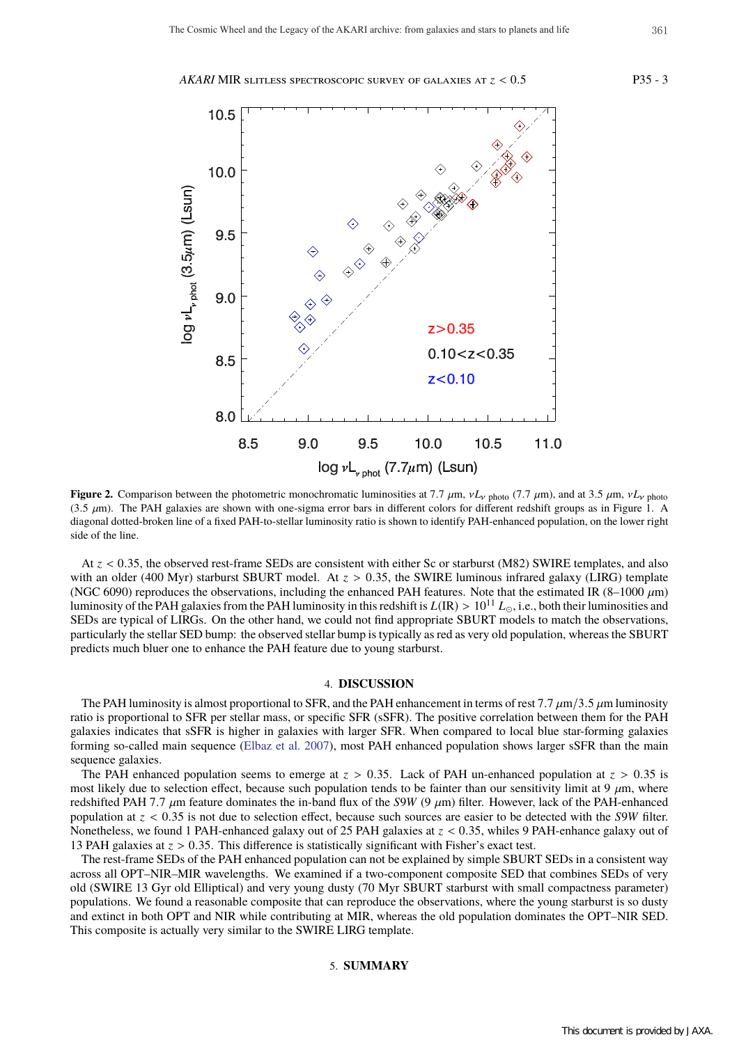*AKARI* MIR slitless spectroscopic survey of galaxies at *z* < 0.5 P35 - 3



**Figure 2.** Comparison between the photometric monochromatic luminosities at 7.7  $\mu$ m,  $vL_v$  photo (7.7  $\mu$ m), and at 3.5  $\mu$ m,  $vL_v$  photo (3.5  $\mu$ m). The PAH galaxies are shown with one-sigma error bars in different colors for different redshift groups as in Figure 1. A diagonal dotted-broken line of a fixed PAH-to-stellar luminosity ratio is shown to identify PAH-enhanced population, on the lower right side of the line.

At *z* < 0.35, the observed rest-frame SEDs are consistent with either Sc or starburst (M82) SWIRE templates, and also with an older (400 Myr) starburst SBURT model. At  $z > 0.35$ , the SWIRE luminous infrared galaxy (LIRG) template (NGC 6090) reproduces the observations, including the enhanced PAH features. Note that the estimated IR (8–1000  $\mu$ m) luminosity of the PAH galaxies from the PAH luminosity in this redshift is  $L(\mathbb{R}) > 10^{11} L_{\odot}$ , i.e., both their luminosities and SEDs are typical of LIRGs. On the other hand, we could not find appropriate SBURT models to match the observations, particularly the stellar SED bump: the observed stellar bump is typically as red as very old population, whereas the SBURT predicts much bluer one to enhance the PAH feature due to young starburst.

# 4. **DISCUSSION**

The PAH luminosity is almost proportional to SFR, and the PAH enhancement in terms of rest 7.7  $\mu$ m/3.5  $\mu$ m luminosity ratio is proportional to SFR per stellar mass, or specific SFR (sSFR). The positive correlation between them for the PAH galaxies indicates that sSFR is higher in galaxies with larger SFR. When compared to local blue star-forming galaxies forming so-called main sequence (Elbaz et al. 2007), most PAH enhanced population shows larger sSFR than the main sequence galaxies.

The PAH enhanced population seems to emerge at *z* > 0.35. Lack of PAH un-enhanced population at *z* > 0.35 is most likely due to selection effect, because such population tends to be fainter than our sensitivity limit at  $9 \mu m$ , where redshifted PAH 7.7 µm feature dominates the in-band flux of the *S*9*W* (9 µm) filter. However, lack of the PAH-enhanced population at *z* < 0.35 is not due to selection effect, because such sources are easier to be detected with the *S*9*W* filter. Nonetheless, we found 1 PAH-enhanced galaxy out of 25 PAH galaxies at  $z < 0.35$ , whiles 9 PAH-enhance galaxy out of 13 PAH galaxies at *z* > 0.35. This difference is statistically significant with Fisher's exact test.

The rest-frame SEDs of the PAH enhanced population can not be explained by simple SBURT SEDs in a consistent way across all OPT–NIR–MIR wavelengths. We examined if a two-component composite SED that combines SEDs of very old (SWIRE 13 Gyr old Elliptical) and very young dusty (70 Myr SBURT starburst with small compactness parameter) populations. We found a reasonable composite that can reproduce the observations, where the young starburst is so dusty and extinct in both OPT and NIR while contributing at MIR, whereas the old population dominates the OPT–NIR SED. This composite is actually very similar to the SWIRE LIRG template.

5. **SUMMARY**